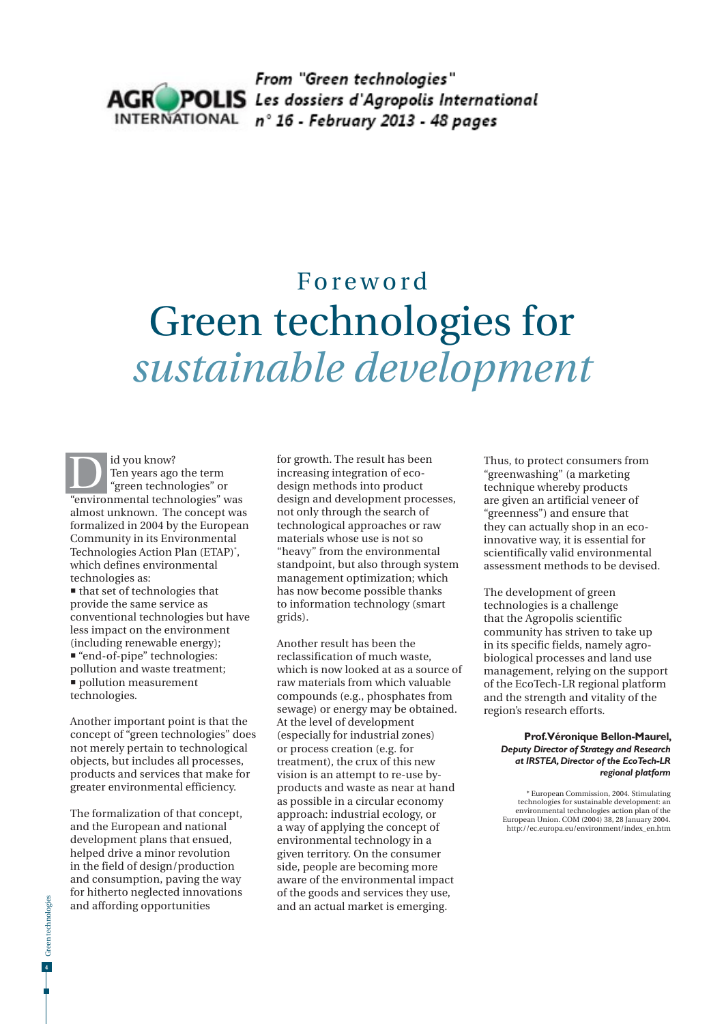

## Foreword Green technologies for *sustainable development*

id you know? Ten years ago the term "green technologies" or Id you know?<br>
Ten years ago the term<br>
"green technologies" or<br>
"environmental technologies" was almost unknown. The concept was formalized in 2004 by the European Community in its Environmental Technologies Action Plan (ETAP)\* , which defines environmental technologies as:

 that set of technologies that provide the same service as conventional technologies but have less impact on the environment (including renewable energy); "end-of-pipe" technologies: pollution and waste treatment; **pollution measurement** technologies.

Another important point is that the concept of "green technologies" does not merely pertain to technological objects, but includes all processes, products and services that make for greater environmental efficiency.

The formalization of that concept, and the European and national development plans that ensued, helped drive a minor revolution in the field of design/production and consumption, paving the way for hitherto neglected innovations and affording opportunities

for growth. The result has been increasing integration of ecodesign methods into product design and development processes, not only through the search of technological approaches or raw materials whose use is not so "heavy" from the environmental standpoint, but also through system management optimization; which has now become possible thanks to information technology (smart grids).

Another result has been the reclassification of much waste, which is now looked at as a source of raw materials from which valuable compounds (e.g., phosphates from sewage) or energy may be obtained. At the level of development (especially for industrial zones) or process creation (e.g. for treatment), the crux of this new vision is an attempt to re-use byproducts and waste as near at hand as possible in a circular economy approach: industrial ecology, or a way of applying the concept of environmental technology in a given territory. On the consumer side, people are becoming more aware of the environmental impact of the goods and services they use, and an actual market is emerging.

Thus, to protect consumers from "greenwashing" (a marketing technique whereby products are given an artificial veneer of "greenness") and ensure that they can actually shop in an ecoinnovative way, it is essential for scientifically valid environmental assessment methods to be devised.

The development of green technologies is a challenge that the Agropolis scientific community has striven to take up in its specific fields, namely agrobiological processes and land use management, relying on the support of the EcoTech-LR regional platform and the strength and vitality of the region's research efforts.

## **Prof. Véronique Bellon-Maurel,**  *Deputy Director of Strategy and Research at IRSTEA, Director of the EcoTech-LR regional platform*

\* European Commission, 2004. Stimulating technologies for sustainable development: an environmental technologies action plan of the European Union. COM (2004) 38, 28 January 2004. http://ec.europa.eu/environment/index\_en.htm